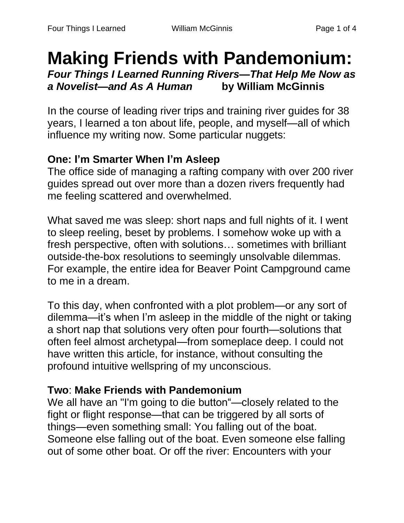# **Making Friends with Pandemonium:**

*Four Things I Learned Running Rivers—That Help Me Now as a Novelist—and As A Human* **by William McGinnis**

In the course of leading river trips and training river guides for 38 years, I learned a ton about life, people, and myself—all of which influence my writing now. Some particular nuggets:

## **One: I'm Smarter When I'm Asleep**

The office side of managing a rafting company with over 200 river guides spread out over more than a dozen rivers frequently had me feeling scattered and overwhelmed.

What saved me was sleep: short naps and full nights of it. I went to sleep reeling, beset by problems. I somehow woke up with a fresh perspective, often with solutions… sometimes with brilliant outside-the-box resolutions to seemingly unsolvable dilemmas. For example, the entire idea for Beaver Point Campground came to me in a dream.

To this day, when confronted with a plot problem—or any sort of dilemma—it's when I'm asleep in the middle of the night or taking a short nap that solutions very often pour fourth—solutions that often feel almost archetypal—from someplace deep. I could not have written this article, for instance, without consulting the profound intuitive wellspring of my unconscious.

## **Two**: **Make Friends with Pandemonium**

We all have an "I'm going to die button"—closely related to the fight or flight response—that can be triggered by all sorts of things—even something small: You falling out of the boat. Someone else falling out of the boat. Even someone else falling out of some other boat. Or off the river: Encounters with your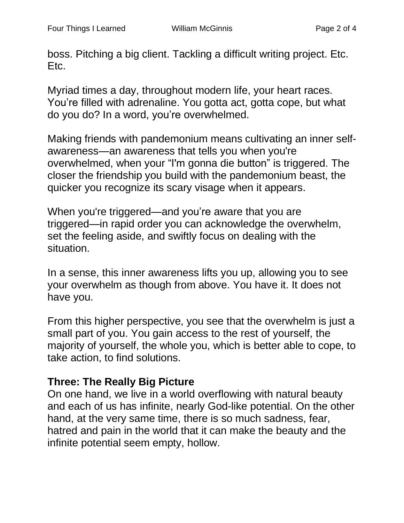boss. Pitching a big client. Tackling a difficult writing project. Etc. Etc.

Myriad times a day, throughout modern life, your heart races. You're filled with adrenaline. You gotta act, gotta cope, but what do you do? In a word, you're overwhelmed.

Making friends with pandemonium means cultivating an inner selfawareness—an awareness that tells you when you're overwhelmed, when your "I'm gonna die button" is triggered. The closer the friendship you build with the pandemonium beast, the quicker you recognize its scary visage when it appears.

When you're triggered—and you're aware that you are triggered—in rapid order you can acknowledge the overwhelm, set the feeling aside, and swiftly focus on dealing with the situation.

In a sense, this inner awareness lifts you up, allowing you to see your overwhelm as though from above. You have it. It does not have you.

From this higher perspective, you see that the overwhelm is just a small part of you. You gain access to the rest of yourself, the majority of yourself, the whole you, which is better able to cope, to take action, to find solutions.

## **Three: The Really Big Picture**

On one hand, we live in a world overflowing with natural beauty and each of us has infinite, nearly God-like potential. On the other hand, at the very same time, there is so much sadness, fear, hatred and pain in the world that it can make the beauty and the infinite potential seem empty, hollow.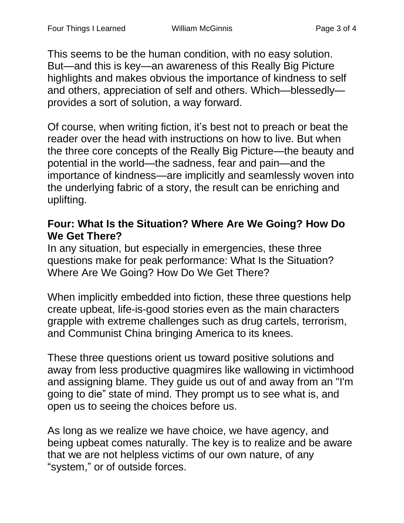This seems to be the human condition, with no easy solution. But—and this is key—an awareness of this Really Big Picture highlights and makes obvious the importance of kindness to self and others, appreciation of self and others. Which—blessedly provides a sort of solution, a way forward.

Of course, when writing fiction, it's best not to preach or beat the reader over the head with instructions on how to live. But when the three core concepts of the Really Big Picture—the beauty and potential in the world—the sadness, fear and pain—and the importance of kindness—are implicitly and seamlessly woven into the underlying fabric of a story, the result can be enriching and uplifting.

### **Four: What Is the Situation? Where Are We Going? How Do We Get There?**

In any situation, but especially in emergencies, these three questions make for peak performance: What Is the Situation? Where Are We Going? How Do We Get There?

When implicitly embedded into fiction, these three questions help create upbeat, life-is-good stories even as the main characters grapple with extreme challenges such as drug cartels, terrorism, and Communist China bringing America to its knees.

These three questions orient us toward positive solutions and away from less productive quagmires like wallowing in victimhood and assigning blame. They guide us out of and away from an "I'm going to die" state of mind. They prompt us to see what is, and open us to seeing the choices before us.

As long as we realize we have choice, we have agency, and being upbeat comes naturally. The key is to realize and be aware that we are not helpless victims of our own nature, of any "system," or of outside forces.